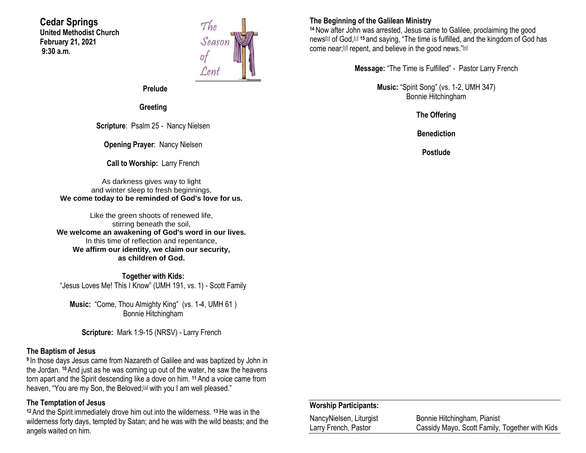#### **Cedar Springs United Methodist Church February 21, 2021 9:30 a.m.**



**Prelude**

**Greeting**

**Scripture**: Psalm 25 - Nancy Nielsen

**Opening Prayer**: Nancy Nielsen

**Call to Worship:** Larry French

As darkness gives way to light and winter sleep to fresh beginnings, **We come today to be reminded of God's love for us.**

Like the green shoots of renewed life, stirring beneath the soil, **We welcome an awakening of God's word in our lives.** In this time of reflection and repentance, **We affirm our identity, we claim our security, as children of God.**

**Together with Kids:** "Jesus Loves Me! This I Know" (UMH 191, vs. 1) - Scott Family

**Music:** "Come, Thou Almighty King" (vs. 1-4, UMH 61 ) Bonnie Hitchingham

**Scripture:** Mark 1:9-15 (NRSV) - Larry French

#### **The Baptism of Jesus**

**9** In those days Jesus came from Nazareth of Galilee and was baptized by John in the Jordan. **<sup>10</sup>**And just as he was coming up out of the water, he saw the heavens torn apart and the Spirit descending like a dove on him. **<sup>11</sup>**And a voice came from heaven, "You are my Son, the Beloved;<sup>[\[a\]](https://www.biblegateway.com/passage/?search=Mark+1%3A9-15&version=NRSV#fen-NRSV-24224a)</sup> with you I am well pleased."

### **The Temptation of Jesus**

**<sup>12</sup>** And the Spirit immediately drove him out into the wilderness. **<sup>13</sup>**He was in the wilderness forty days, tempted by Satan; and he was with the wild beasts; and the angels waited on him.

## **The Beginning of the Galilean Ministry**

**<sup>14</sup>**Now after John was arrested, Jesus came to Galilee, proclaiming the good news[\[b\]](https://www.biblegateway.com/passage/?search=Mark+1%3A9-15&version=NRSV#fen-NRSV-24227b) of God,[\[c\]](https://www.biblegateway.com/passage/?search=Mark+1%3A9-15&version=NRSV#fen-NRSV-24227c) **<sup>15</sup>** and saying, "The time is fulfilled, and the kingdom of God has come near;<sup>[\[d\]](https://www.biblegateway.com/passage/?search=Mark+1%3A9-15&version=NRSV#fen-NRSV-24228d)</sup> repent, and believe in the good news."<sup>[\[e\]](https://www.biblegateway.com/passage/?search=Mark+1%3A9-15&version=NRSV#fen-NRSV-24228e)</sup>

**Message:** "The Time is Fulfilled" - Pastor Larry French

**Music:** "Spirit Song" (vs. 1-2, UMH 347) Bonnie Hitchingham

**The Offering**

**Benediction**

**Postlude**

#### **Worship Participants:**

| NancyNielsen, Liturgist | Bonnie Hitchingham, Pianist                    |
|-------------------------|------------------------------------------------|
| Larry French, Pastor    | Cassidy Mayo, Scott Family, Together with Kids |